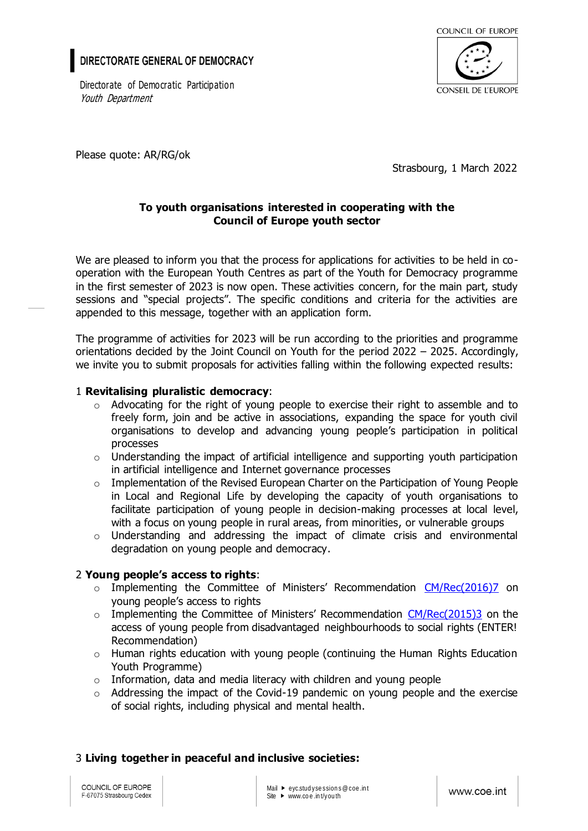# DIRECTORATE GENERAL OF DEMOCRACY

Directorate of Democratic Participation Youth Department



Please quote: AR/RG/ok

Strasbourg, 1 March 2022

## **To youth organisations interested in cooperating with the Council of Europe youth sector**

We are pleased to inform you that the process for applications for activities to be held in cooperation with the European Youth Centres as part of the Youth for Democracy programme in the first semester of 2023 is now open. These activities concern, for the main part, study sessions and "special projects". The specific conditions and criteria for the activities are appended to this message, together with an application form.

The programme of activities for 2023 will be run according to the priorities and programme orientations decided by the Joint Council on Youth for the period 2022 – 2025. Accordingly, we invite you to submit proposals for activities falling within the following expected results:

### 1 **Revitalising pluralistic democracy**:

- o Advocating for the right of young people to exercise their right to assemble and to freely form, join and be active in associations, expanding the space for youth civil organisations to develop and advancing young people's participation in political processes
- $\circ$  Understanding the impact of artificial intelligence and supporting youth participation in artificial intelligence and Internet governance processes
- $\circ$  Implementation of the Revised European Charter on the Participation of Young People in Local and Regional Life by developing the capacity of youth organisations to facilitate participation of young people in decision-making processes at local level, with a focus on young people in rural areas, from minorities, or vulnerable groups
- $\circ$  Understanding and addressing the impact of climate crisis and environmental degradation on young people and democracy.

### 2 **Young people's access to rights**:

- o Implementing the Committee of Ministers' Recommendation [CM/Rec\(2016\)7](https://rm.coe.int/1680702b6e) on young people's access to rights
- o Implementing the Committee of Ministers' Recommendation [CM/Rec\(2015\)3](https://rm.coe.int/168066671e) on the access of young people from disadvantaged neighbourhoods to social rights (ENTER! Recommendation)
- $\circ$  Human rights education with young people (continuing the Human Rights Education Youth Programme)
- $\circ$  Information, data and media literacy with children and young people
- $\circ$  Addressing the impact of the Covid-19 pandemic on young people and the exercise of social rights, including physical and mental health.

### 3 **Living together in peaceful and inclusive societies:**